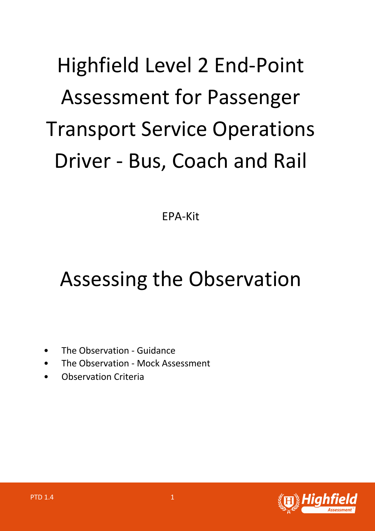# Highfield Level 2 End-Point Assessment for Passenger Transport Service Operations Driver - Bus, Coach and Rail

EPA-Kit

# Assessing the Observation

- The Observation Guidance
- The Observation Mock Assessment
- Observation Criteria

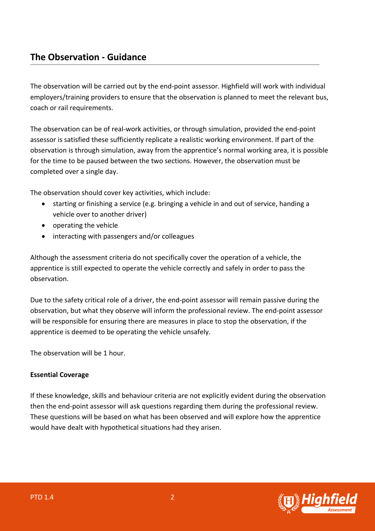The observation will be carried out by the end-point assessor. Highfield will work with individual employers/training providers to ensure that the observation is planned to meet the relevant bus, coach or rail requirements.

The observation can be of real-work activities, or through simulation, provided the end-point assessor is satisfied these sufficiently replicate a realistic working environment. If part of the observation is through simulation, away from the apprentice's normal working area, it is possible for the time to be paused between the two sections. However, the observation must be completed over a single day.

The observation should cover key activities, which include:

- starting or finishing a service (e.g. bringing a vehicle in and out of service, handing a vehicle over to another driver)
- operating the vehicle
- interacting with passengers and/or colleagues

Although the assessment criteria do not specifically cover the operation of a vehicle, the apprentice is still expected to operate the vehicle correctly and safely in order to pass the observation.

Due to the safety critical role of a driver, the end-point assessor will remain passive during the observation, but what they observe will inform the professional review. The end-point assessor will be responsible for ensuring there are measures in place to stop the observation, if the apprentice is deemed to be operating the vehicle unsafely.

The observation will be 1 hour.

## **Essential Coverage**

If these knowledge, skills and behaviour criteria are not explicitly evident during the observation then the end-point assessor will ask questions regarding them during the professional review. These questions will be based on what has been observed and will explore how the apprentice would have dealt with hypothetical situations had they arisen.

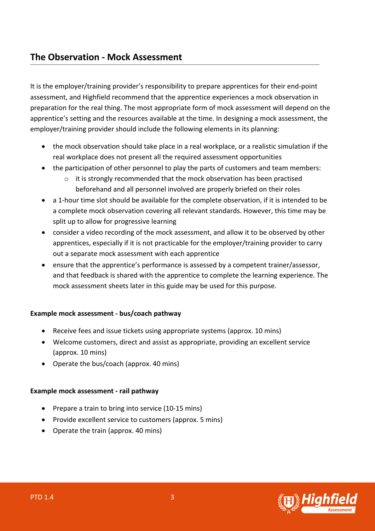# **The Observation - Mock Assessment**

It is the employer/training provider's responsibility to prepare apprentices for their end-point assessment, and Highfield recommend that the apprentice experiences a mock observation in preparation for the real thing. The most appropriate form of mock assessment will depend on the apprentice's setting and the resources available at the time. In designing a mock assessment, the employer/training provider should include the following elements in its planning:

- the mock observation should take place in a real workplace, or a realistic simulation if the real workplace does not present all the required assessment opportunities
- the participation of other personnel to play the parts of customers and team members:
	- $\circ$  it is strongly recommended that the mock observation has been practised beforehand and all personnel involved are properly briefed on their roles
- a 1-hour time slot should be available for the complete observation, if it is intended to be a complete mock observation covering all relevant standards. However, this time may be split up to allow for progressive learning
- consider a video recording of the mock assessment, and allow it to be observed by other apprentices, especially if it is not practicable for the employer/training provider to carry out a separate mock assessment with each apprentice
- ensure that the apprentice's performance is assessed by a competent trainer/assessor, and that feedback is shared with the apprentice to complete the learning experience. The mock assessment sheets later in this guide may be used for this purpose.

## **Example mock assessment - bus/coach pathway**

- Receive fees and issue tickets using appropriate systems (approx. 10 mins)
- Welcome customers, direct and assist as appropriate, providing an excellent service (approx. 10 mins)
- Operate the bus/coach (approx. 40 mins)

## **Example mock assessment - rail pathway**

- Prepare a train to bring into service (10-15 mins)
- Provide excellent service to customers (approx. 5 mins)
- Operate the train (approx. 40 mins)

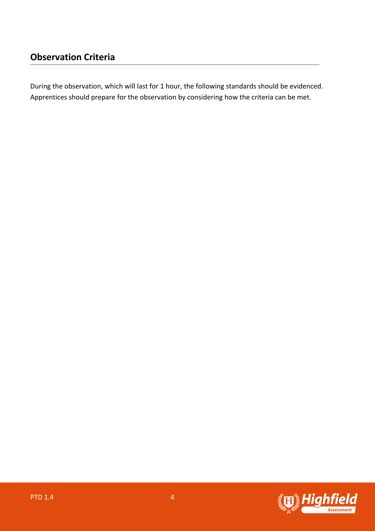During the observation, which will last for 1 hour, the following standards should be evidenced. Apprentices should prepare for the observation by considering how the criteria can be met.

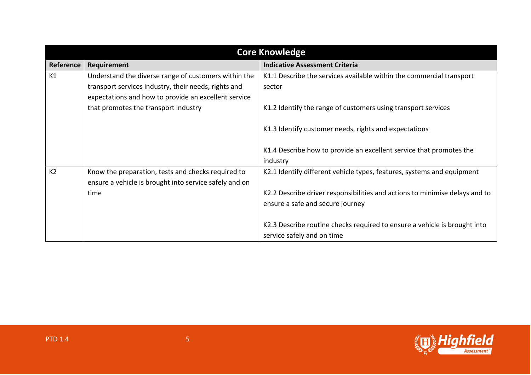| <b>Core Knowledge</b> |                                                        |                                                                             |
|-----------------------|--------------------------------------------------------|-----------------------------------------------------------------------------|
| Reference             | Requirement                                            | <b>Indicative Assessment Criteria</b>                                       |
| K1                    | Understand the diverse range of customers within the   | K1.1 Describe the services available within the commercial transport        |
|                       | transport services industry, their needs, rights and   | sector                                                                      |
|                       | expectations and how to provide an excellent service   |                                                                             |
|                       | that promotes the transport industry                   | K1.2 Identify the range of customers using transport services               |
|                       |                                                        |                                                                             |
|                       |                                                        | K1.3 Identify customer needs, rights and expectations                       |
|                       |                                                        |                                                                             |
|                       |                                                        | K1.4 Describe how to provide an excellent service that promotes the         |
|                       |                                                        | industry                                                                    |
| K <sub>2</sub>        | Know the preparation, tests and checks required to     | K2.1 Identify different vehicle types, features, systems and equipment      |
|                       | ensure a vehicle is brought into service safely and on |                                                                             |
|                       | time                                                   | K2.2 Describe driver responsibilities and actions to minimise delays and to |
|                       |                                                        | ensure a safe and secure journey                                            |
|                       |                                                        |                                                                             |
|                       |                                                        | K2.3 Describe routine checks required to ensure a vehicle is brought into   |
|                       |                                                        | service safely and on time                                                  |

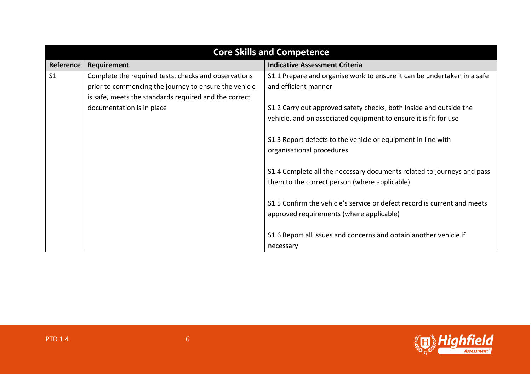| <b>Core Skills and Competence</b> |                                                       |                                                                          |
|-----------------------------------|-------------------------------------------------------|--------------------------------------------------------------------------|
| Reference                         | Requirement                                           | <b>Indicative Assessment Criteria</b>                                    |
| S <sub>1</sub>                    | Complete the required tests, checks and observations  | S1.1 Prepare and organise work to ensure it can be undertaken in a safe  |
|                                   | prior to commencing the journey to ensure the vehicle | and efficient manner                                                     |
|                                   | is safe, meets the standards required and the correct |                                                                          |
|                                   | documentation is in place                             | S1.2 Carry out approved safety checks, both inside and outside the       |
|                                   |                                                       | vehicle, and on associated equipment to ensure it is fit for use         |
|                                   |                                                       |                                                                          |
|                                   |                                                       | S1.3 Report defects to the vehicle or equipment in line with             |
|                                   |                                                       | organisational procedures                                                |
|                                   |                                                       |                                                                          |
|                                   |                                                       | S1.4 Complete all the necessary documents related to journeys and pass   |
|                                   |                                                       | them to the correct person (where applicable)                            |
|                                   |                                                       |                                                                          |
|                                   |                                                       | S1.5 Confirm the vehicle's service or defect record is current and meets |
|                                   |                                                       | approved requirements (where applicable)                                 |
|                                   |                                                       |                                                                          |
|                                   |                                                       | S1.6 Report all issues and concerns and obtain another vehicle if        |
|                                   |                                                       | necessary                                                                |

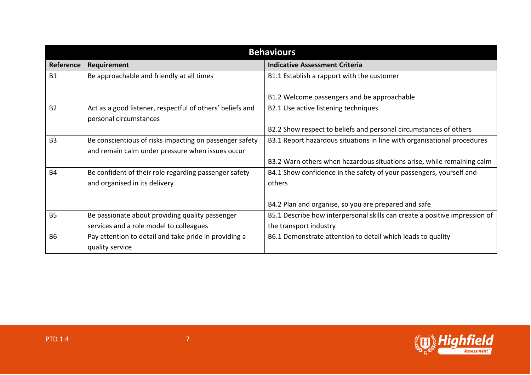| <b>Behaviours</b> |                                                                                                             |                                                                                                      |
|-------------------|-------------------------------------------------------------------------------------------------------------|------------------------------------------------------------------------------------------------------|
| Reference         | Requirement                                                                                                 | <b>Indicative Assessment Criteria</b>                                                                |
| <b>B1</b>         | Be approachable and friendly at all times                                                                   | B1.1 Establish a rapport with the customer                                                           |
|                   |                                                                                                             | B1.2 Welcome passengers and be approachable                                                          |
| B <sub>2</sub>    | Act as a good listener, respectful of others' beliefs and<br>personal circumstances                         | B2.1 Use active listening techniques                                                                 |
|                   |                                                                                                             | B2.2 Show respect to beliefs and personal circumstances of others                                    |
| <b>B3</b>         | Be conscientious of risks impacting on passenger safety<br>and remain calm under pressure when issues occur | B3.1 Report hazardous situations in line with organisational procedures                              |
|                   |                                                                                                             | B3.2 Warn others when hazardous situations arise, while remaining calm                               |
| <b>B4</b>         | Be confident of their role regarding passenger safety<br>and organised in its delivery                      | B4.1 Show confidence in the safety of your passengers, yourself and<br>others                        |
|                   |                                                                                                             | B4.2 Plan and organise, so you are prepared and safe                                                 |
| <b>B5</b>         | Be passionate about providing quality passenger<br>services and a role model to colleagues                  | B5.1 Describe how interpersonal skills can create a positive impression of<br>the transport industry |
| <b>B6</b>         | Pay attention to detail and take pride in providing a<br>quality service                                    | B6.1 Demonstrate attention to detail which leads to quality                                          |

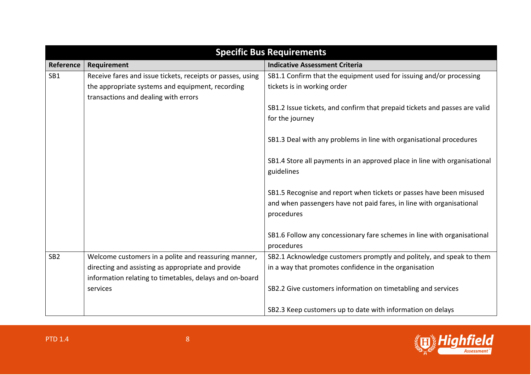| <b>Specific Bus Requirements</b> |                                                            |                                                                            |
|----------------------------------|------------------------------------------------------------|----------------------------------------------------------------------------|
| Reference                        | Requirement                                                | <b>Indicative Assessment Criteria</b>                                      |
| SB1                              | Receive fares and issue tickets, receipts or passes, using | SB1.1 Confirm that the equipment used for issuing and/or processing        |
|                                  | the appropriate systems and equipment, recording           | tickets is in working order                                                |
|                                  | transactions and dealing with errors                       |                                                                            |
|                                  |                                                            | SB1.2 Issue tickets, and confirm that prepaid tickets and passes are valid |
|                                  |                                                            | for the journey                                                            |
|                                  |                                                            |                                                                            |
|                                  |                                                            | SB1.3 Deal with any problems in line with organisational procedures        |
|                                  |                                                            |                                                                            |
|                                  |                                                            | SB1.4 Store all payments in an approved place in line with organisational  |
|                                  |                                                            | guidelines                                                                 |
|                                  |                                                            | SB1.5 Recognise and report when tickets or passes have been misused        |
|                                  |                                                            | and when passengers have not paid fares, in line with organisational       |
|                                  |                                                            | procedures                                                                 |
|                                  |                                                            |                                                                            |
|                                  |                                                            | SB1.6 Follow any concessionary fare schemes in line with organisational    |
|                                  |                                                            | procedures                                                                 |
| SB <sub>2</sub>                  | Welcome customers in a polite and reassuring manner,       | SB2.1 Acknowledge customers promptly and politely, and speak to them       |
|                                  | directing and assisting as appropriate and provide         | in a way that promotes confidence in the organisation                      |
|                                  | information relating to timetables, delays and on-board    |                                                                            |
|                                  | services                                                   | SB2.2 Give customers information on timetabling and services               |
|                                  |                                                            |                                                                            |
|                                  |                                                            | SB2.3 Keep customers up to date with information on delays                 |

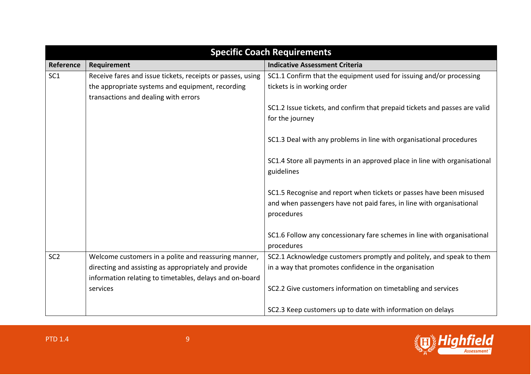| <b>Specific Coach Requirements</b> |                                                            |                                                                            |
|------------------------------------|------------------------------------------------------------|----------------------------------------------------------------------------|
| Reference                          | Requirement                                                | <b>Indicative Assessment Criteria</b>                                      |
| SC <sub>1</sub>                    | Receive fares and issue tickets, receipts or passes, using | SC1.1 Confirm that the equipment used for issuing and/or processing        |
|                                    | the appropriate systems and equipment, recording           | tickets is in working order                                                |
|                                    | transactions and dealing with errors                       |                                                                            |
|                                    |                                                            | SC1.2 Issue tickets, and confirm that prepaid tickets and passes are valid |
|                                    |                                                            | for the journey                                                            |
|                                    |                                                            |                                                                            |
|                                    |                                                            | SC1.3 Deal with any problems in line with organisational procedures        |
|                                    |                                                            |                                                                            |
|                                    |                                                            | SC1.4 Store all payments in an approved place in line with organisational  |
|                                    |                                                            | guidelines                                                                 |
|                                    |                                                            |                                                                            |
|                                    |                                                            | SC1.5 Recognise and report when tickets or passes have been misused        |
|                                    |                                                            | and when passengers have not paid fares, in line with organisational       |
|                                    |                                                            | procedures                                                                 |
|                                    |                                                            | SC1.6 Follow any concessionary fare schemes in line with organisational    |
|                                    |                                                            | procedures                                                                 |
| SC <sub>2</sub>                    | Welcome customers in a polite and reassuring manner,       | SC2.1 Acknowledge customers promptly and politely, and speak to them       |
|                                    | directing and assisting as appropriately and provide       | in a way that promotes confidence in the organisation                      |
|                                    | information relating to timetables, delays and on-board    |                                                                            |
|                                    | services                                                   | SC2.2 Give customers information on timetabling and services               |
|                                    |                                                            |                                                                            |
|                                    |                                                            | SC2.3 Keep customers up to date with information on delays                 |

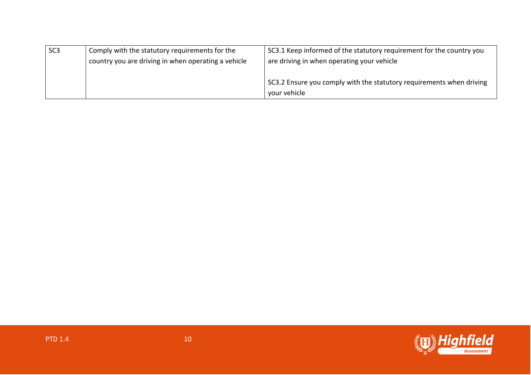| SC <sub>3</sub> | Comply with the statutory requirements for the      | SC3.1 Keep informed of the statutory requirement for the country you |
|-----------------|-----------------------------------------------------|----------------------------------------------------------------------|
|                 | country you are driving in when operating a vehicle | are driving in when operating your vehicle                           |
|                 |                                                     |                                                                      |
|                 |                                                     | SC3.2 Ensure you comply with the statutory requirements when driving |
|                 |                                                     | your vehicle                                                         |

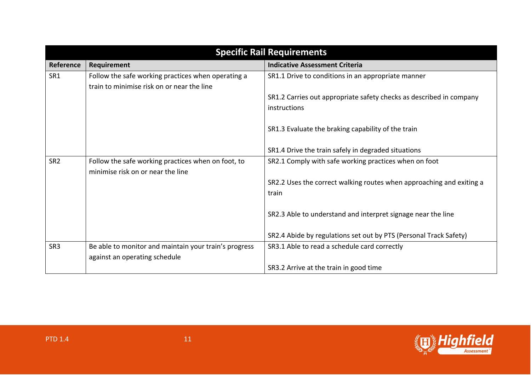| <b>Specific Rail Requirements</b> |                                                                                                  |                                                                               |
|-----------------------------------|--------------------------------------------------------------------------------------------------|-------------------------------------------------------------------------------|
| Reference                         | Requirement                                                                                      | <b>Indicative Assessment Criteria</b>                                         |
| SR1                               | Follow the safe working practices when operating a<br>train to minimise risk on or near the line | SR1.1 Drive to conditions in an appropriate manner                            |
|                                   |                                                                                                  | SR1.2 Carries out appropriate safety checks as described in company           |
|                                   |                                                                                                  | instructions                                                                  |
|                                   |                                                                                                  | SR1.3 Evaluate the braking capability of the train                            |
|                                   |                                                                                                  | SR1.4 Drive the train safely in degraded situations                           |
| SR <sub>2</sub>                   | Follow the safe working practices when on foot, to<br>minimise risk on or near the line          | SR2.1 Comply with safe working practices when on foot                         |
|                                   |                                                                                                  | SR2.2 Uses the correct walking routes when approaching and exiting a<br>train |
|                                   |                                                                                                  | SR2.3 Able to understand and interpret signage near the line                  |
|                                   |                                                                                                  | SR2.4 Abide by regulations set out by PTS (Personal Track Safety)             |
| SR <sub>3</sub>                   | Be able to monitor and maintain your train's progress                                            | SR3.1 Able to read a schedule card correctly                                  |
|                                   | against an operating schedule                                                                    |                                                                               |
|                                   |                                                                                                  | SR3.2 Arrive at the train in good time                                        |